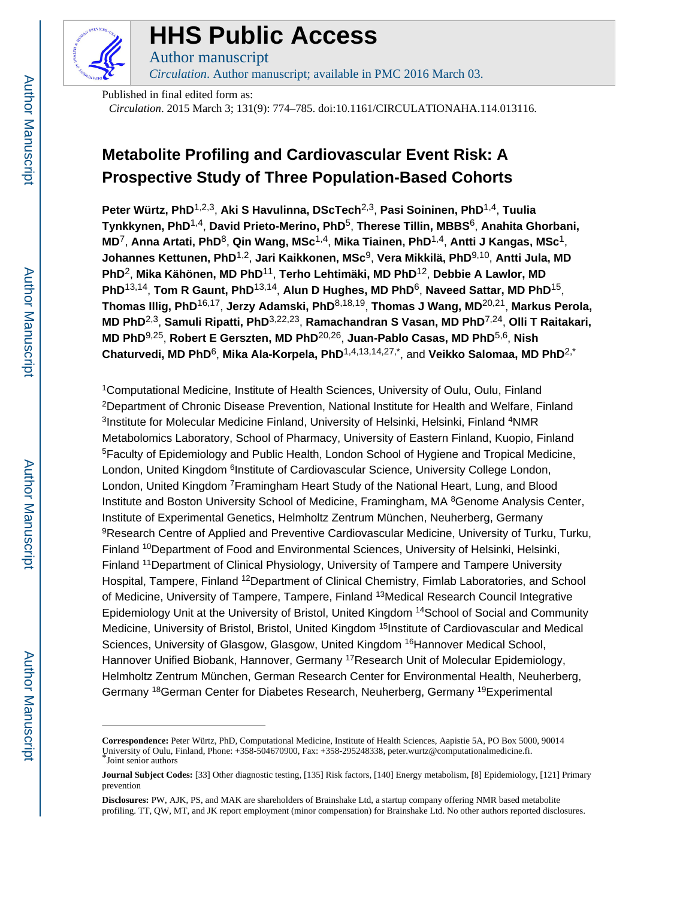

## **HHS Public Access**

Author manuscript *Circulation*. Author manuscript; available in PMC 2016 March 03.

Published in final edited form as: *Circulation*. 2015 March 3; 131(9): 774–785. doi:10.1161/CIRCULATIONAHA.114.013116.

### **Metabolite Profiling and Cardiovascular Event Risk: A Prospective Study of Three Population-Based Cohorts**

**Peter Würtz, PhD**1,2,3, **Aki S Havulinna, DScTech**2,3, **Pasi Soininen, PhD**1,4, **Tuulia Tynkkynen, PhD**1,4, **David Prieto-Merino, PhD**5, **Therese Tillin, MBBS**6, **Anahita Ghorbani, MD**7, **Anna Artati, PhD**8, **Qin Wang, MSc**1,4, **Mika Tiainen, PhD**1,4, **Antti J Kangas, MSc**1, **Johannes Kettunen, PhD**1,2, **Jari Kaikkonen, MSc**9, **Vera Mikkilä, PhD**9,10, **Antti Jula, MD PhD**2, **Mika Kähönen, MD PhD**11, **Terho Lehtimäki, MD PhD**12, **Debbie A Lawlor, MD PhD**13,14, **Tom R Gaunt, PhD**13,14, **Alun D Hughes, MD PhD**6, **Naveed Sattar, MD PhD**15, **Thomas Illig, PhD**16,17, **Jerzy Adamski, PhD**8,18,19, **Thomas J Wang, MD**20,21, **Markus Perola, MD PhD**2,3, **Samuli Ripatti, PhD**3,22,23, **Ramachandran S Vasan, MD PhD**7,24, **Olli T Raitakari, MD PhD**9,25, **Robert E Gerszten, MD PhD**20,26, **Juan-Pablo Casas, MD PhD**5,6, **Nish Chaturvedi, MD PhD**6, **Mika Ala-Korpela, PhD**1,4,13,14,27,\*, and **Veikko Salomaa, MD PhD**2,\*

<sup>1</sup>Computational Medicine, Institute of Health Sciences, University of Oulu, Oulu, Finland <sup>2</sup>Department of Chronic Disease Prevention, National Institute for Health and Welfare, Finland <sup>3</sup>Institute for Molecular Medicine Finland, University of Helsinki, Helsinki, Finland <sup>4</sup>NMR Metabolomics Laboratory, School of Pharmacy, University of Eastern Finland, Kuopio, Finland <sup>5</sup>Faculty of Epidemiology and Public Health, London School of Hygiene and Tropical Medicine, London, United Kingdom <sup>6</sup>Institute of Cardiovascular Science, University College London, London, United Kingdom <sup>7</sup>Framingham Heart Study of the National Heart, Lung, and Blood Institute and Boston University School of Medicine, Framingham, MA <sup>8</sup>Genome Analysis Center, Institute of Experimental Genetics, Helmholtz Zentrum München, Neuherberg, Germany <sup>9</sup>Research Centre of Applied and Preventive Cardiovascular Medicine, University of Turku, Turku, Finland <sup>10</sup>Department of Food and Environmental Sciences, University of Helsinki, Helsinki, Finland <sup>11</sup>Department of Clinical Physiology, University of Tampere and Tampere University Hospital, Tampere, Finland <sup>12</sup>Department of Clinical Chemistry, Fimlab Laboratories, and School of Medicine, University of Tampere, Tampere, Finland <sup>13</sup>Medical Research Council Integrative Epidemiology Unit at the University of Bristol, United Kingdom 14School of Social and Community Medicine, University of Bristol, Bristol, United Kingdom <sup>15</sup>Institute of Cardiovascular and Medical Sciences, University of Glasgow, Glasgow, United Kingdom <sup>16</sup>Hannover Medical School, Hannover Unified Biobank, Hannover, Germany <sup>17</sup>Research Unit of Molecular Epidemiology, Helmholtz Zentrum München, German Research Center for Environmental Health, Neuherberg, Germany <sup>18</sup>German Center for Diabetes Research, Neuherberg, Germany <sup>19</sup>Experimental

**Correspondence:** Peter Würtz, PhD, Computational Medicine, Institute of Health Sciences, Aapistie 5A, PO Box 5000, 90014 University of Oulu, Finland, Phone: +358-504670900, Fax: +358-295248338, peter.wurtz@computationalmedicine.fi. \*Joint senior authors

**Journal Subject Codes:** [33] Other diagnostic testing, [135] Risk factors, [140] Energy metabolism, [8] Epidemiology, [121] Primary prevention

**Disclosures:** PW, AJK, PS, and MAK are shareholders of Brainshake Ltd, a startup company offering NMR based metabolite profiling. TT, QW, MT, and JK report employment (minor compensation) for Brainshake Ltd. No other authors reported disclosures.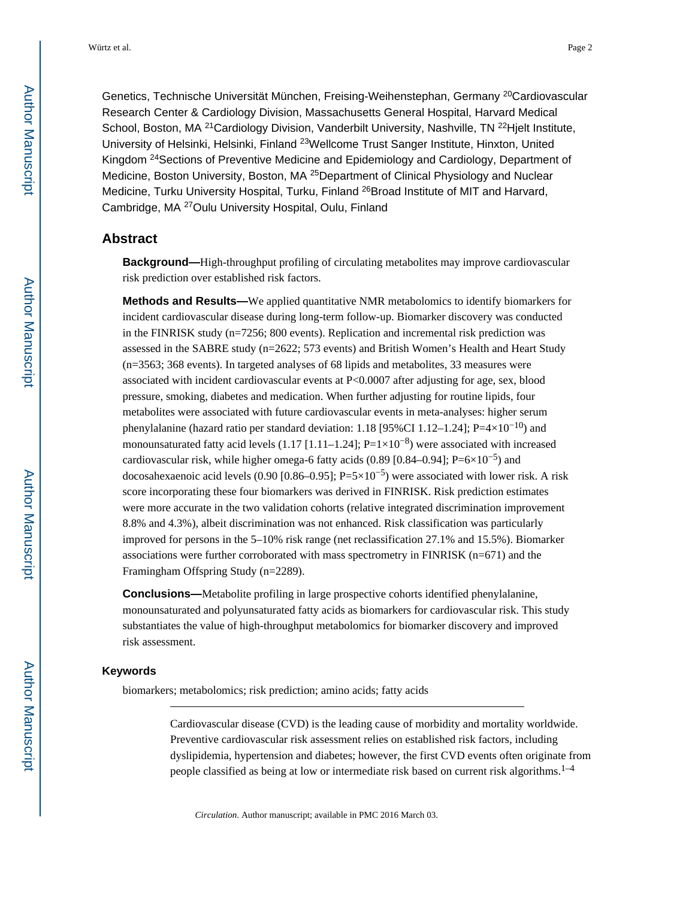Genetics, Technische Universität München, Freising-Weihenstephan, Germany <sup>20</sup>Cardiovascular Research Center & Cardiology Division, Massachusetts General Hospital, Harvard Medical School, Boston, MA<sup>21</sup>Cardiology Division, Vanderbilt University, Nashville, TN<sup>22</sup>Hielt Institute, University of Helsinki, Helsinki, Finland <sup>23</sup>Wellcome Trust Sanger Institute, Hinxton, United Kingdom <sup>24</sup>Sections of Preventive Medicine and Epidemiology and Cardiology, Department of Medicine, Boston University, Boston, MA<sup>25</sup>Department of Clinical Physiology and Nuclear Medicine, Turku University Hospital, Turku, Finland <sup>26</sup>Broad Institute of MIT and Harvard, Cambridge, MA <sup>27</sup>Oulu University Hospital, Oulu, Finland

#### **Abstract**

**Background—**High-throughput profiling of circulating metabolites may improve cardiovascular risk prediction over established risk factors.

**Methods and Results—**We applied quantitative NMR metabolomics to identify biomarkers for incident cardiovascular disease during long-term follow-up. Biomarker discovery was conducted in the FINRISK study (n=7256; 800 events). Replication and incremental risk prediction was assessed in the SABRE study (n=2622; 573 events) and British Women's Health and Heart Study (n=3563; 368 events). In targeted analyses of 68 lipids and metabolites, 33 measures were associated with incident cardiovascular events at P<0.0007 after adjusting for age, sex, blood pressure, smoking, diabetes and medication. When further adjusting for routine lipids, four metabolites were associated with future cardiovascular events in meta-analyses: higher serum phenylalanine (hazard ratio per standard deviation: 1.18 [95%CI 1.12–1.24]; P=4×10<sup>-10</sup>) and monounsaturated fatty acid levels  $(1.17 \mid 1.11-1.24]$ ; P=1×10<sup>-8</sup>) were associated with increased cardiovascular risk, while higher omega-6 fatty acids (0.89 [0.84–0.94]; P=6×10<sup>-5</sup>) and docosahexaenoic acid levels (0.90 [0.86–0.95]; P=5×10<sup>-5</sup>) were associated with lower risk. A risk score incorporating these four biomarkers was derived in FINRISK. Risk prediction estimates were more accurate in the two validation cohorts (relative integrated discrimination improvement 8.8% and 4.3%), albeit discrimination was not enhanced. Risk classification was particularly improved for persons in the 5–10% risk range (net reclassification 27.1% and 15.5%). Biomarker associations were further corroborated with mass spectrometry in FINRISK (n=671) and the Framingham Offspring Study (n=2289).

**Conclusions—**Metabolite profiling in large prospective cohorts identified phenylalanine, monounsaturated and polyunsaturated fatty acids as biomarkers for cardiovascular risk. This study substantiates the value of high-throughput metabolomics for biomarker discovery and improved risk assessment.

#### **Keywords**

biomarkers; metabolomics; risk prediction; amino acids; fatty acids

Cardiovascular disease (CVD) is the leading cause of morbidity and mortality worldwide. Preventive cardiovascular risk assessment relies on established risk factors, including dyslipidemia, hypertension and diabetes; however, the first CVD events often originate from people classified as being at low or intermediate risk based on current risk algorithms.<sup>1–4</sup>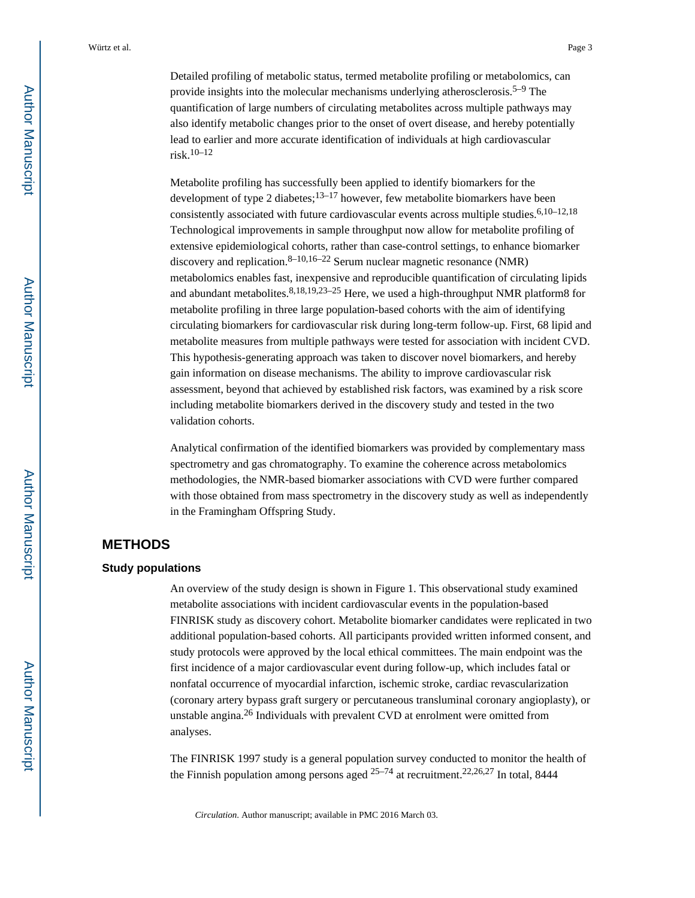Detailed profiling of metabolic status, termed metabolite profiling or metabolomics, can provide insights into the molecular mechanisms underlying atherosclerosis.<sup>5–9</sup> The quantification of large numbers of circulating metabolites across multiple pathways may also identify metabolic changes prior to the onset of overt disease, and hereby potentially lead to earlier and more accurate identification of individuals at high cardiovascular risk.10–12

Metabolite profiling has successfully been applied to identify biomarkers for the development of type 2 diabetes; $13-17$  however, few metabolite biomarkers have been consistently associated with future cardiovascular events across multiple studies.<sup>6,10–12,18</sup> Technological improvements in sample throughput now allow for metabolite profiling of extensive epidemiological cohorts, rather than case-control settings, to enhance biomarker discovery and replication.  $8-10,16-22$  Serum nuclear magnetic resonance (NMR) metabolomics enables fast, inexpensive and reproducible quantification of circulating lipids and abundant metabolites.  $8,18,19,23-25$  Here, we used a high-throughput NMR platform8 for metabolite profiling in three large population-based cohorts with the aim of identifying circulating biomarkers for cardiovascular risk during long-term follow-up. First, 68 lipid and metabolite measures from multiple pathways were tested for association with incident CVD. This hypothesis-generating approach was taken to discover novel biomarkers, and hereby gain information on disease mechanisms. The ability to improve cardiovascular risk assessment, beyond that achieved by established risk factors, was examined by a risk score including metabolite biomarkers derived in the discovery study and tested in the two validation cohorts.

Analytical confirmation of the identified biomarkers was provided by complementary mass spectrometry and gas chromatography. To examine the coherence across metabolomics methodologies, the NMR-based biomarker associations with CVD were further compared with those obtained from mass spectrometry in the discovery study as well as independently in the Framingham Offspring Study.

#### **METHODS**

#### **Study populations**

An overview of the study design is shown in Figure 1. This observational study examined metabolite associations with incident cardiovascular events in the population-based FINRISK study as discovery cohort. Metabolite biomarker candidates were replicated in two additional population-based cohorts. All participants provided written informed consent, and study protocols were approved by the local ethical committees. The main endpoint was the first incidence of a major cardiovascular event during follow-up, which includes fatal or nonfatal occurrence of myocardial infarction, ischemic stroke, cardiac revascularization (coronary artery bypass graft surgery or percutaneous transluminal coronary angioplasty), or unstable angina.26 Individuals with prevalent CVD at enrolment were omitted from analyses.

The FINRISK 1997 study is a general population survey conducted to monitor the health of the Finnish population among persons aged  $25-74$  at recruitment.  $22,26,27$  In total, 8444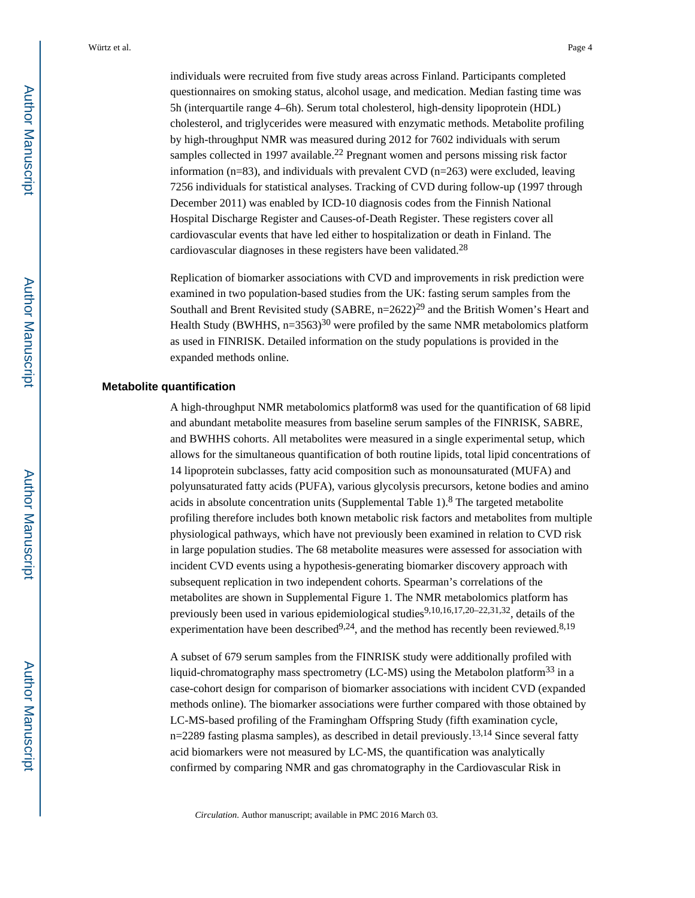individuals were recruited from five study areas across Finland. Participants completed questionnaires on smoking status, alcohol usage, and medication. Median fasting time was 5h (interquartile range 4–6h). Serum total cholesterol, high-density lipoprotein (HDL) cholesterol, and triglycerides were measured with enzymatic methods. Metabolite profiling by high-throughput NMR was measured during 2012 for 7602 individuals with serum samples collected in 1997 available.<sup>22</sup> Pregnant women and persons missing risk factor information ( $n=83$ ), and individuals with prevalent CVD  $(n=263)$  were excluded, leaving 7256 individuals for statistical analyses. Tracking of CVD during follow-up (1997 through December 2011) was enabled by ICD-10 diagnosis codes from the Finnish National Hospital Discharge Register and Causes-of-Death Register. These registers cover all cardiovascular events that have led either to hospitalization or death in Finland. The cardiovascular diagnoses in these registers have been validated.<sup>28</sup>

Replication of biomarker associations with CVD and improvements in risk prediction were examined in two population-based studies from the UK: fasting serum samples from the Southall and Brent Revisited study (SABRE,  $n=2622$ )<sup>29</sup> and the British Women's Heart and Health Study (BWHHS,  $n=3563$ )<sup>30</sup> were profiled by the same NMR metabolomics platform as used in FINRISK. Detailed information on the study populations is provided in the expanded methods online.

#### **Metabolite quantification**

A high-throughput NMR metabolomics platform8 was used for the quantification of 68 lipid and abundant metabolite measures from baseline serum samples of the FINRISK, SABRE, and BWHHS cohorts. All metabolites were measured in a single experimental setup, which allows for the simultaneous quantification of both routine lipids, total lipid concentrations of 14 lipoprotein subclasses, fatty acid composition such as monounsaturated (MUFA) and polyunsaturated fatty acids (PUFA), various glycolysis precursors, ketone bodies and amino acids in absolute concentration units (Supplemental Table  $1$ ).<sup>8</sup> The targeted metabolite profiling therefore includes both known metabolic risk factors and metabolites from multiple physiological pathways, which have not previously been examined in relation to CVD risk in large population studies. The 68 metabolite measures were assessed for association with incident CVD events using a hypothesis-generating biomarker discovery approach with subsequent replication in two independent cohorts. Spearman's correlations of the metabolites are shown in Supplemental Figure 1. The NMR metabolomics platform has previously been used in various epidemiological studies<sup>9,10,16,17,20–22,31,32</sup>, details of the experimentation have been described<sup>9,24</sup>, and the method has recently been reviewed.<sup>8,19</sup>

A subset of 679 serum samples from the FINRISK study were additionally profiled with liquid-chromatography mass spectrometry (LC-MS) using the Metabolon platform<sup>33</sup> in a case-cohort design for comparison of biomarker associations with incident CVD (expanded methods online). The biomarker associations were further compared with those obtained by LC-MS-based profiling of the Framingham Offspring Study (fifth examination cycle, n=2289 fasting plasma samples), as described in detail previously.<sup>13,14</sup> Since several fatty acid biomarkers were not measured by LC-MS, the quantification was analytically confirmed by comparing NMR and gas chromatography in the Cardiovascular Risk in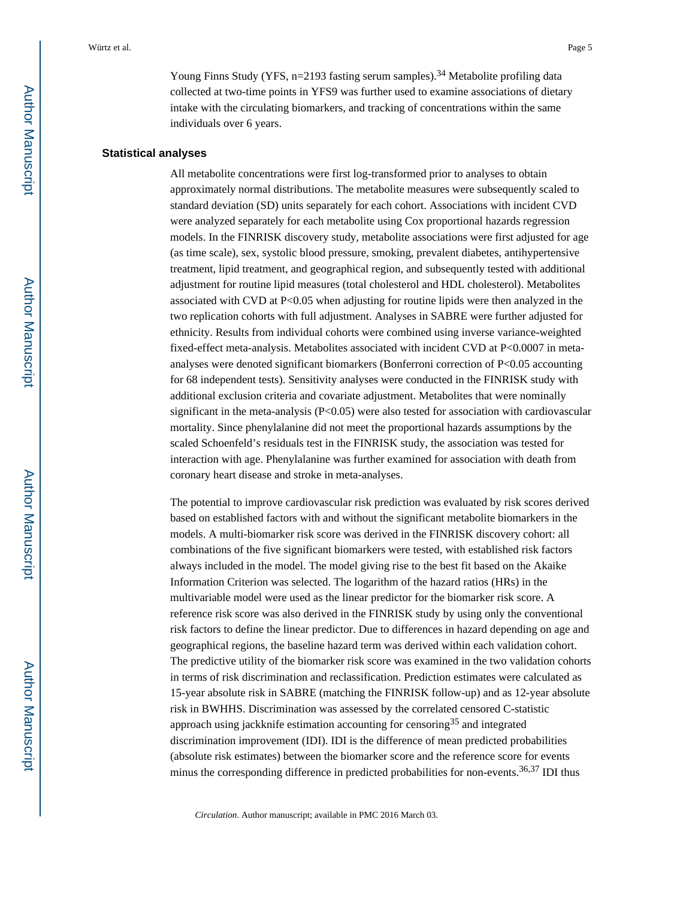Young Finns Study (YFS, n=2193 fasting serum samples).<sup>34</sup> Metabolite profiling data collected at two-time points in YFS9 was further used to examine associations of dietary intake with the circulating biomarkers, and tracking of concentrations within the same individuals over 6 years.

#### **Statistical analyses**

All metabolite concentrations were first log-transformed prior to analyses to obtain approximately normal distributions. The metabolite measures were subsequently scaled to standard deviation (SD) units separately for each cohort. Associations with incident CVD were analyzed separately for each metabolite using Cox proportional hazards regression models. In the FINRISK discovery study, metabolite associations were first adjusted for age (as time scale), sex, systolic blood pressure, smoking, prevalent diabetes, antihypertensive treatment, lipid treatment, and geographical region, and subsequently tested with additional adjustment for routine lipid measures (total cholesterol and HDL cholesterol). Metabolites associated with CVD at P<0.05 when adjusting for routine lipids were then analyzed in the two replication cohorts with full adjustment. Analyses in SABRE were further adjusted for ethnicity. Results from individual cohorts were combined using inverse variance-weighted fixed-effect meta-analysis. Metabolites associated with incident CVD at P<0.0007 in metaanalyses were denoted significant biomarkers (Bonferroni correction of P<0.05 accounting for 68 independent tests). Sensitivity analyses were conducted in the FINRISK study with additional exclusion criteria and covariate adjustment. Metabolites that were nominally significant in the meta-analysis (P<0.05) were also tested for association with cardiovascular mortality. Since phenylalanine did not meet the proportional hazards assumptions by the scaled Schoenfeld's residuals test in the FINRISK study, the association was tested for interaction with age. Phenylalanine was further examined for association with death from coronary heart disease and stroke in meta-analyses.

The potential to improve cardiovascular risk prediction was evaluated by risk scores derived based on established factors with and without the significant metabolite biomarkers in the models. A multi-biomarker risk score was derived in the FINRISK discovery cohort: all combinations of the five significant biomarkers were tested, with established risk factors always included in the model. The model giving rise to the best fit based on the Akaike Information Criterion was selected. The logarithm of the hazard ratios (HRs) in the multivariable model were used as the linear predictor for the biomarker risk score. A reference risk score was also derived in the FINRISK study by using only the conventional risk factors to define the linear predictor. Due to differences in hazard depending on age and geographical regions, the baseline hazard term was derived within each validation cohort. The predictive utility of the biomarker risk score was examined in the two validation cohorts in terms of risk discrimination and reclassification. Prediction estimates were calculated as 15-year absolute risk in SABRE (matching the FINRISK follow-up) and as 12-year absolute risk in BWHHS. Discrimination was assessed by the correlated censored C-statistic approach using jackknife estimation accounting for censoring<sup>35</sup> and integrated discrimination improvement (IDI). IDI is the difference of mean predicted probabilities (absolute risk estimates) between the biomarker score and the reference score for events minus the corresponding difference in predicted probabilities for non-events.<sup>36,37</sup> IDI thus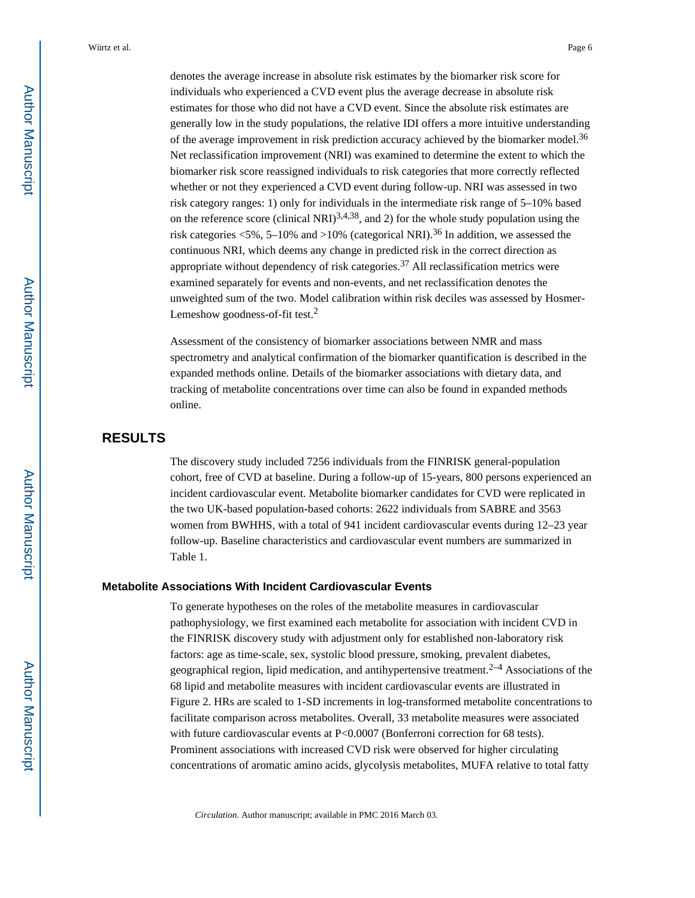denotes the average increase in absolute risk estimates by the biomarker risk score for individuals who experienced a CVD event plus the average decrease in absolute risk estimates for those who did not have a CVD event. Since the absolute risk estimates are generally low in the study populations, the relative IDI offers a more intuitive understanding of the average improvement in risk prediction accuracy achieved by the biomarker model.<sup>36</sup> Net reclassification improvement (NRI) was examined to determine the extent to which the biomarker risk score reassigned individuals to risk categories that more correctly reflected whether or not they experienced a CVD event during follow-up. NRI was assessed in two risk category ranges: 1) only for individuals in the intermediate risk range of 5–10% based on the reference score (clinical NRI)<sup>3,4,38</sup>, and 2) for the whole study population using the risk categories  $\langle 5\%, 5-10\% \rangle$  and  $>10\%$  (categorical NRI).<sup>36</sup> In addition, we assessed the continuous NRI, which deems any change in predicted risk in the correct direction as appropriate without dependency of risk categories.<sup>37</sup> All reclassification metrics were examined separately for events and non-events, and net reclassification denotes the unweighted sum of the two. Model calibration within risk deciles was assessed by Hosmer-Lemeshow goodness-of-fit test.<sup>2</sup>

Assessment of the consistency of biomarker associations between NMR and mass spectrometry and analytical confirmation of the biomarker quantification is described in the expanded methods online. Details of the biomarker associations with dietary data, and tracking of metabolite concentrations over time can also be found in expanded methods online.

#### **RESULTS**

The discovery study included 7256 individuals from the FINRISK general-population cohort, free of CVD at baseline. During a follow-up of 15-years, 800 persons experienced an incident cardiovascular event. Metabolite biomarker candidates for CVD were replicated in the two UK-based population-based cohorts: 2622 individuals from SABRE and 3563 women from BWHHS, with a total of 941 incident cardiovascular events during 12–23 year follow-up. Baseline characteristics and cardiovascular event numbers are summarized in Table 1.

#### **Metabolite Associations With Incident Cardiovascular Events**

To generate hypotheses on the roles of the metabolite measures in cardiovascular pathophysiology, we first examined each metabolite for association with incident CVD in the FINRISK discovery study with adjustment only for established non-laboratory risk factors: age as time-scale, sex, systolic blood pressure, smoking, prevalent diabetes, geographical region, lipid medication, and antihypertensive treatment.<sup>2–4</sup> Associations of the 68 lipid and metabolite measures with incident cardiovascular events are illustrated in Figure 2. HRs are scaled to 1-SD increments in log-transformed metabolite concentrations to facilitate comparison across metabolites. Overall, 33 metabolite measures were associated with future cardiovascular events at P<0.0007 (Bonferroni correction for 68 tests). Prominent associations with increased CVD risk were observed for higher circulating concentrations of aromatic amino acids, glycolysis metabolites, MUFA relative to total fatty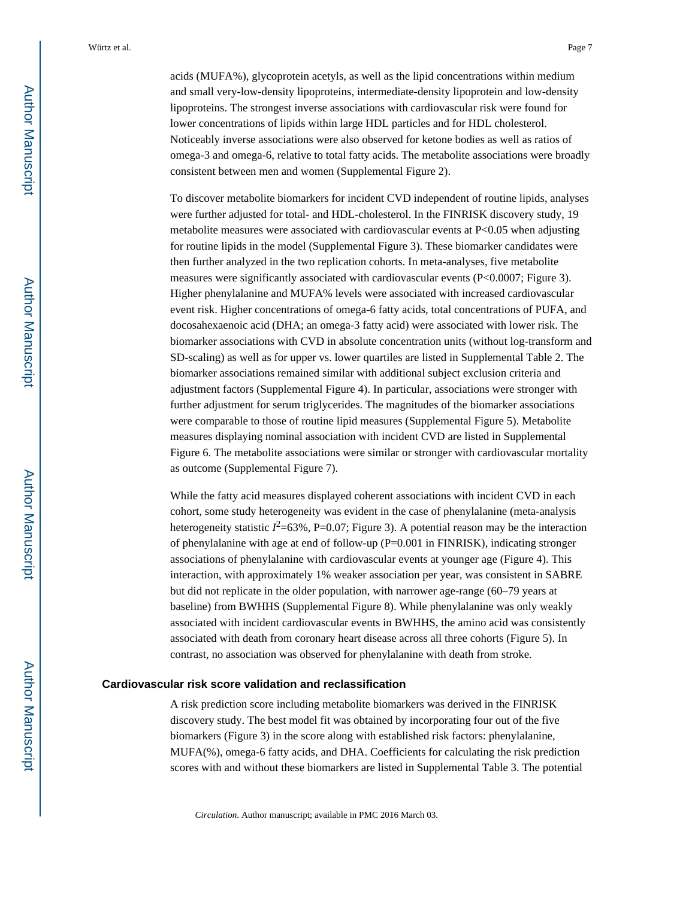acids (MUFA%), glycoprotein acetyls, as well as the lipid concentrations within medium and small very-low-density lipoproteins, intermediate-density lipoprotein and low-density lipoproteins. The strongest inverse associations with cardiovascular risk were found for lower concentrations of lipids within large HDL particles and for HDL cholesterol. Noticeably inverse associations were also observed for ketone bodies as well as ratios of omega-3 and omega-6, relative to total fatty acids. The metabolite associations were broadly consistent between men and women (Supplemental Figure 2).

To discover metabolite biomarkers for incident CVD independent of routine lipids, analyses were further adjusted for total- and HDL-cholesterol. In the FINRISK discovery study, 19 metabolite measures were associated with cardiovascular events at P<0.05 when adjusting for routine lipids in the model (Supplemental Figure 3). These biomarker candidates were then further analyzed in the two replication cohorts. In meta-analyses, five metabolite measures were significantly associated with cardiovascular events (P<0.0007; Figure 3). Higher phenylalanine and MUFA% levels were associated with increased cardiovascular event risk. Higher concentrations of omega-6 fatty acids, total concentrations of PUFA, and docosahexaenoic acid (DHA; an omega-3 fatty acid) were associated with lower risk. The biomarker associations with CVD in absolute concentration units (without log-transform and SD-scaling) as well as for upper vs. lower quartiles are listed in Supplemental Table 2. The biomarker associations remained similar with additional subject exclusion criteria and adjustment factors (Supplemental Figure 4). In particular, associations were stronger with further adjustment for serum triglycerides. The magnitudes of the biomarker associations were comparable to those of routine lipid measures (Supplemental Figure 5). Metabolite measures displaying nominal association with incident CVD are listed in Supplemental Figure 6. The metabolite associations were similar or stronger with cardiovascular mortality as outcome (Supplemental Figure 7).

While the fatty acid measures displayed coherent associations with incident CVD in each cohort, some study heterogeneity was evident in the case of phenylalanine (meta-analysis heterogeneity statistic  $I^2$ =63%, P=0.07; Figure 3). A potential reason may be the interaction of phenylalanine with age at end of follow-up (P=0.001 in FINRISK), indicating stronger associations of phenylalanine with cardiovascular events at younger age (Figure 4). This interaction, with approximately 1% weaker association per year, was consistent in SABRE but did not replicate in the older population, with narrower age-range (60–79 years at baseline) from BWHHS (Supplemental Figure 8). While phenylalanine was only weakly associated with incident cardiovascular events in BWHHS, the amino acid was consistently associated with death from coronary heart disease across all three cohorts (Figure 5). In contrast, no association was observed for phenylalanine with death from stroke.

#### **Cardiovascular risk score validation and reclassification**

A risk prediction score including metabolite biomarkers was derived in the FINRISK discovery study. The best model fit was obtained by incorporating four out of the five biomarkers (Figure 3) in the score along with established risk factors: phenylalanine, MUFA(%), omega-6 fatty acids, and DHA. Coefficients for calculating the risk prediction scores with and without these biomarkers are listed in Supplemental Table 3. The potential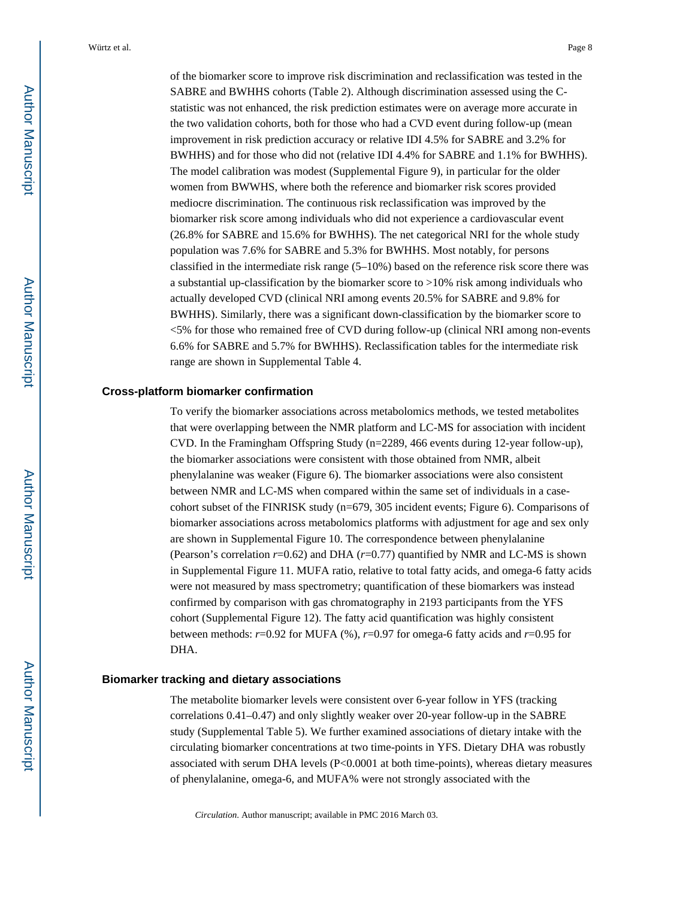of the biomarker score to improve risk discrimination and reclassification was tested in the SABRE and BWHHS cohorts (Table 2). Although discrimination assessed using the Cstatistic was not enhanced, the risk prediction estimates were on average more accurate in the two validation cohorts, both for those who had a CVD event during follow-up (mean improvement in risk prediction accuracy or relative IDI 4.5% for SABRE and 3.2% for BWHHS) and for those who did not (relative IDI 4.4% for SABRE and 1.1% for BWHHS). The model calibration was modest (Supplemental Figure 9), in particular for the older women from BWWHS, where both the reference and biomarker risk scores provided mediocre discrimination. The continuous risk reclassification was improved by the biomarker risk score among individuals who did not experience a cardiovascular event (26.8% for SABRE and 15.6% for BWHHS). The net categorical NRI for the whole study population was 7.6% for SABRE and 5.3% for BWHHS. Most notably, for persons classified in the intermediate risk range (5–10%) based on the reference risk score there was a substantial up-classification by the biomarker score to >10% risk among individuals who actually developed CVD (clinical NRI among events 20.5% for SABRE and 9.8% for BWHHS). Similarly, there was a significant down-classification by the biomarker score to <5% for those who remained free of CVD during follow-up (clinical NRI among non-events 6.6% for SABRE and 5.7% for BWHHS). Reclassification tables for the intermediate risk range are shown in Supplemental Table 4.

#### **Cross-platform biomarker confirmation**

To verify the biomarker associations across metabolomics methods, we tested metabolites that were overlapping between the NMR platform and LC-MS for association with incident CVD. In the Framingham Offspring Study (n=2289, 466 events during 12-year follow-up), the biomarker associations were consistent with those obtained from NMR, albeit phenylalanine was weaker (Figure 6). The biomarker associations were also consistent between NMR and LC-MS when compared within the same set of individuals in a casecohort subset of the FINRISK study (n=679, 305 incident events; Figure 6). Comparisons of biomarker associations across metabolomics platforms with adjustment for age and sex only are shown in Supplemental Figure 10. The correspondence between phenylalanine (Pearson's correlation *r*=0.62) and DHA (*r*=0.77) quantified by NMR and LC-MS is shown in Supplemental Figure 11. MUFA ratio, relative to total fatty acids, and omega-6 fatty acids were not measured by mass spectrometry; quantification of these biomarkers was instead confirmed by comparison with gas chromatography in 2193 participants from the YFS cohort (Supplemental Figure 12). The fatty acid quantification was highly consistent between methods: *r*=0.92 for MUFA (%), *r*=0.97 for omega-6 fatty acids and *r*=0.95 for DHA.

#### **Biomarker tracking and dietary associations**

The metabolite biomarker levels were consistent over 6-year follow in YFS (tracking correlations 0.41–0.47) and only slightly weaker over 20-year follow-up in the SABRE study (Supplemental Table 5). We further examined associations of dietary intake with the circulating biomarker concentrations at two time-points in YFS. Dietary DHA was robustly associated with serum DHA levels  $(P< 0.0001$  at both time-points), whereas dietary measures of phenylalanine, omega-6, and MUFA% were not strongly associated with the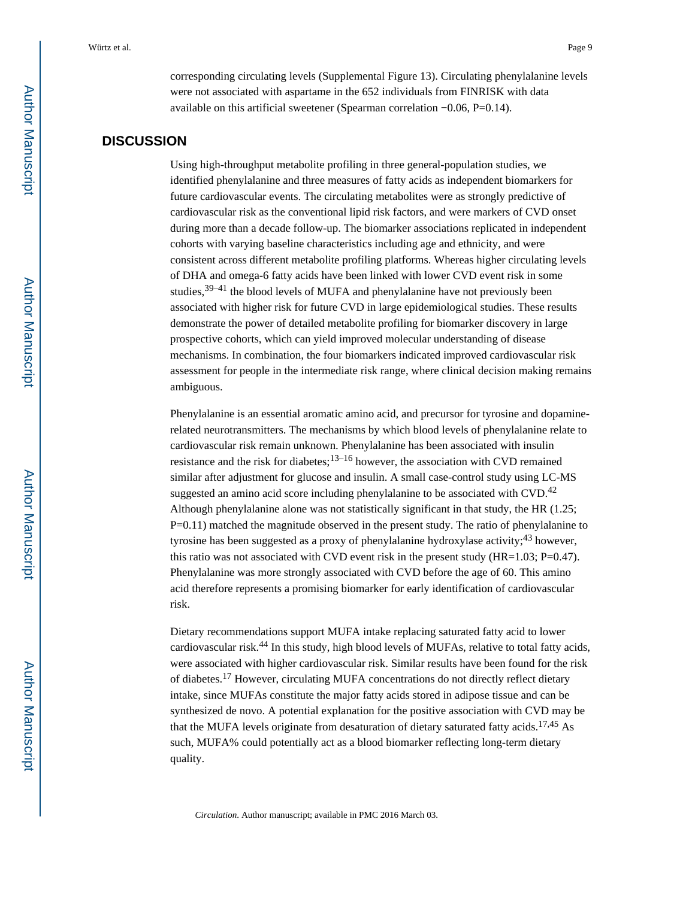corresponding circulating levels (Supplemental Figure 13). Circulating phenylalanine levels were not associated with aspartame in the 652 individuals from FINRISK with data available on this artificial sweetener (Spearman correlation −0.06, P=0.14).

#### **DISCUSSION**

Using high-throughput metabolite profiling in three general-population studies, we identified phenylalanine and three measures of fatty acids as independent biomarkers for future cardiovascular events. The circulating metabolites were as strongly predictive of cardiovascular risk as the conventional lipid risk factors, and were markers of CVD onset during more than a decade follow-up. The biomarker associations replicated in independent cohorts with varying baseline characteristics including age and ethnicity, and were consistent across different metabolite profiling platforms. Whereas higher circulating levels of DHA and omega-6 fatty acids have been linked with lower CVD event risk in some studies,  $39-41$  the blood levels of MUFA and phenylalanine have not previously been associated with higher risk for future CVD in large epidemiological studies. These results demonstrate the power of detailed metabolite profiling for biomarker discovery in large prospective cohorts, which can yield improved molecular understanding of disease mechanisms. In combination, the four biomarkers indicated improved cardiovascular risk assessment for people in the intermediate risk range, where clinical decision making remains ambiguous.

Phenylalanine is an essential aromatic amino acid, and precursor for tyrosine and dopaminerelated neurotransmitters. The mechanisms by which blood levels of phenylalanine relate to cardiovascular risk remain unknown. Phenylalanine has been associated with insulin resistance and the risk for diabetes; $13-16$  however, the association with CVD remained similar after adjustment for glucose and insulin. A small case-control study using LC-MS suggested an amino acid score including phenylalanine to be associated with  $CVD$ .<sup>42</sup> Although phenylalanine alone was not statistically significant in that study, the HR (1.25; P=0.11) matched the magnitude observed in the present study. The ratio of phenylalanine to tyrosine has been suggested as a proxy of phenylalanine hydroxylase activity;<sup>43</sup> however, this ratio was not associated with CVD event risk in the present study  $(HR=1.03; P=0.47)$ . Phenylalanine was more strongly associated with CVD before the age of 60. This amino acid therefore represents a promising biomarker for early identification of cardiovascular risk.

Dietary recommendations support MUFA intake replacing saturated fatty acid to lower cardiovascular risk.<sup>44</sup> In this study, high blood levels of MUFAs, relative to total fatty acids, were associated with higher cardiovascular risk. Similar results have been found for the risk of diabetes.17 However, circulating MUFA concentrations do not directly reflect dietary intake, since MUFAs constitute the major fatty acids stored in adipose tissue and can be synthesized de novo. A potential explanation for the positive association with CVD may be that the MUFA levels originate from desaturation of dietary saturated fatty acids.17,45 As such, MUFA% could potentially act as a blood biomarker reflecting long-term dietary quality.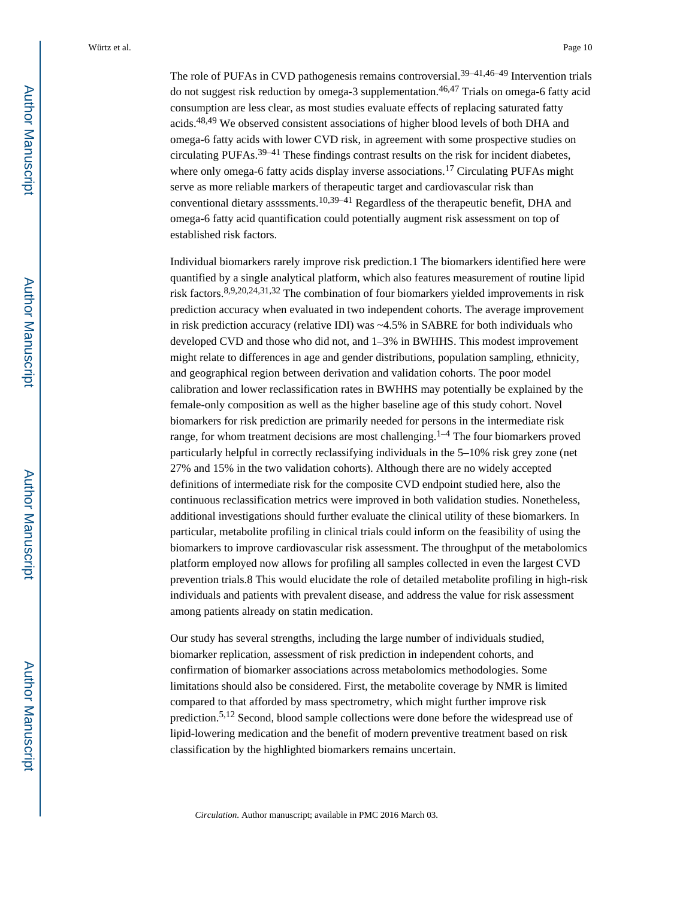The role of PUFAs in CVD pathogenesis remains controversial.<sup>39–41,46–49</sup> Intervention trials do not suggest risk reduction by omega-3 supplementation.<sup>46,47</sup> Trials on omega-6 fatty acid consumption are less clear, as most studies evaluate effects of replacing saturated fatty acids.48,49 We observed consistent associations of higher blood levels of both DHA and omega-6 fatty acids with lower CVD risk, in agreement with some prospective studies on circulating PUFAs.39–41 These findings contrast results on the risk for incident diabetes, where only omega-6 fatty acids display inverse associations.<sup>17</sup> Circulating PUFAs might serve as more reliable markers of therapeutic target and cardiovascular risk than conventional dietary assssments.10,39–41 Regardless of the therapeutic benefit, DHA and omega-6 fatty acid quantification could potentially augment risk assessment on top of established risk factors.

Individual biomarkers rarely improve risk prediction.1 The biomarkers identified here were quantified by a single analytical platform, which also features measurement of routine lipid risk factors.8,9,20,24,31,32 The combination of four biomarkers yielded improvements in risk prediction accuracy when evaluated in two independent cohorts. The average improvement in risk prediction accuracy (relative IDI) was  $\sim$ 4.5% in SABRE for both individuals who developed CVD and those who did not, and 1–3% in BWHHS. This modest improvement might relate to differences in age and gender distributions, population sampling, ethnicity, and geographical region between derivation and validation cohorts. The poor model calibration and lower reclassification rates in BWHHS may potentially be explained by the female-only composition as well as the higher baseline age of this study cohort. Novel biomarkers for risk prediction are primarily needed for persons in the intermediate risk range, for whom treatment decisions are most challenging.<sup>1–4</sup> The four biomarkers proved particularly helpful in correctly reclassifying individuals in the 5–10% risk grey zone (net 27% and 15% in the two validation cohorts). Although there are no widely accepted definitions of intermediate risk for the composite CVD endpoint studied here, also the continuous reclassification metrics were improved in both validation studies. Nonetheless, additional investigations should further evaluate the clinical utility of these biomarkers. In particular, metabolite profiling in clinical trials could inform on the feasibility of using the biomarkers to improve cardiovascular risk assessment. The throughput of the metabolomics platform employed now allows for profiling all samples collected in even the largest CVD prevention trials.8 This would elucidate the role of detailed metabolite profiling in high-risk individuals and patients with prevalent disease, and address the value for risk assessment among patients already on statin medication.

Our study has several strengths, including the large number of individuals studied, biomarker replication, assessment of risk prediction in independent cohorts, and confirmation of biomarker associations across metabolomics methodologies. Some limitations should also be considered. First, the metabolite coverage by NMR is limited compared to that afforded by mass spectrometry, which might further improve risk prediction.5,12 Second, blood sample collections were done before the widespread use of lipid-lowering medication and the benefit of modern preventive treatment based on risk classification by the highlighted biomarkers remains uncertain.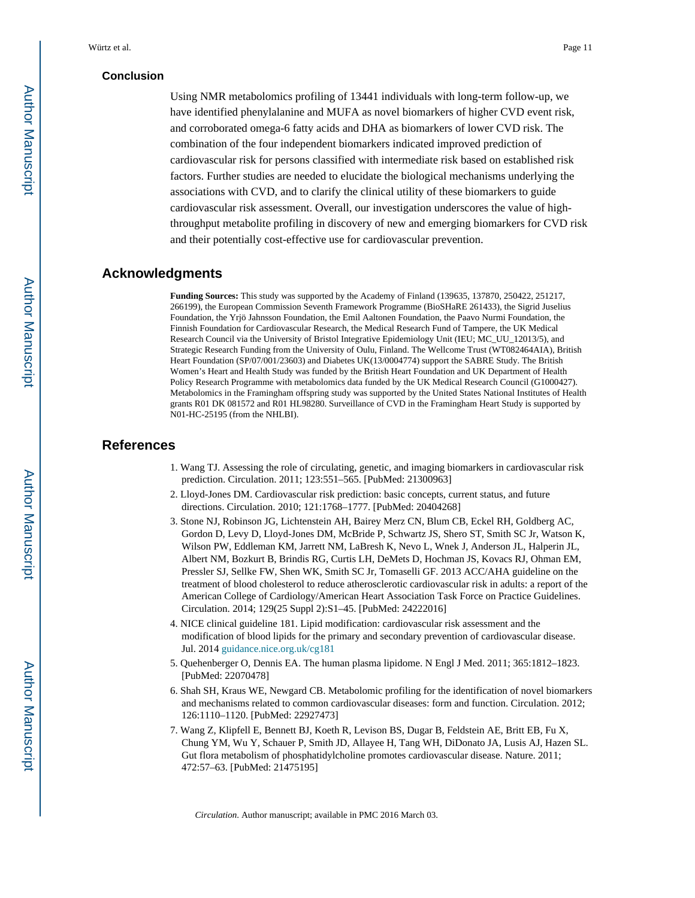#### **Conclusion**

Using NMR metabolomics profiling of 13441 individuals with long-term follow-up, we have identified phenylalanine and MUFA as novel biomarkers of higher CVD event risk, and corroborated omega-6 fatty acids and DHA as biomarkers of lower CVD risk. The combination of the four independent biomarkers indicated improved prediction of cardiovascular risk for persons classified with intermediate risk based on established risk factors. Further studies are needed to elucidate the biological mechanisms underlying the associations with CVD, and to clarify the clinical utility of these biomarkers to guide cardiovascular risk assessment. Overall, our investigation underscores the value of highthroughput metabolite profiling in discovery of new and emerging biomarkers for CVD risk and their potentially cost-effective use for cardiovascular prevention.

#### **Acknowledgments**

**Funding Sources:** This study was supported by the Academy of Finland (139635, 137870, 250422, 251217, 266199), the European Commission Seventh Framework Programme (BioSHaRE 261433), the Sigrid Juselius Foundation, the Yrjö Jahnsson Foundation, the Emil Aaltonen Foundation, the Paavo Nurmi Foundation, the Finnish Foundation for Cardiovascular Research, the Medical Research Fund of Tampere, the UK Medical Research Council via the University of Bristol Integrative Epidemiology Unit (IEU; MC\_UU\_12013/5), and Strategic Research Funding from the University of Oulu, Finland. The Wellcome Trust (WT082464AIA), British Heart Foundation (SP/07/001/23603) and Diabetes UK(13/0004774) support the SABRE Study. The British Women's Heart and Health Study was funded by the British Heart Foundation and UK Department of Health Policy Research Programme with metabolomics data funded by the UK Medical Research Council (G1000427). Metabolomics in the Framingham offspring study was supported by the United States National Institutes of Health grants R01 DK 081572 and R01 HL98280. Surveillance of CVD in the Framingham Heart Study is supported by N01-HC-25195 (from the NHLBI).

#### **References**

- 1. Wang TJ. Assessing the role of circulating, genetic, and imaging biomarkers in cardiovascular risk prediction. Circulation. 2011; 123:551–565. [PubMed: 21300963]
- 2. Lloyd-Jones DM. Cardiovascular risk prediction: basic concepts, current status, and future directions. Circulation. 2010; 121:1768–1777. [PubMed: 20404268]
- 3. Stone NJ, Robinson JG, Lichtenstein AH, Bairey Merz CN, Blum CB, Eckel RH, Goldberg AC, Gordon D, Levy D, Lloyd-Jones DM, McBride P, Schwartz JS, Shero ST, Smith SC Jr, Watson K, Wilson PW, Eddleman KM, Jarrett NM, LaBresh K, Nevo L, Wnek J, Anderson JL, Halperin JL, Albert NM, Bozkurt B, Brindis RG, Curtis LH, DeMets D, Hochman JS, Kovacs RJ, Ohman EM, Pressler SJ, Sellke FW, Shen WK, Smith SC Jr, Tomaselli GF. 2013 ACC/AHA guideline on the treatment of blood cholesterol to reduce atherosclerotic cardiovascular risk in adults: a report of the American College of Cardiology/American Heart Association Task Force on Practice Guidelines. Circulation. 2014; 129(25 Suppl 2):S1–45. [PubMed: 24222016]
- 4. NICE clinical guideline 181. Lipid modification: cardiovascular risk assessment and the modification of blood lipids for the primary and secondary prevention of cardiovascular disease. Jul. 2014 [guidance.nice.org.uk/cg181](https://www.guidance.nice.org.uk/cg181)
- 5. Quehenberger O, Dennis EA. The human plasma lipidome. N Engl J Med. 2011; 365:1812–1823. [PubMed: 22070478]
- 6. Shah SH, Kraus WE, Newgard CB. Metabolomic profiling for the identification of novel biomarkers and mechanisms related to common cardiovascular diseases: form and function. Circulation. 2012; 126:1110–1120. [PubMed: 22927473]
- 7. Wang Z, Klipfell E, Bennett BJ, Koeth R, Levison BS, Dugar B, Feldstein AE, Britt EB, Fu X, Chung YM, Wu Y, Schauer P, Smith JD, Allayee H, Tang WH, DiDonato JA, Lusis AJ, Hazen SL. Gut flora metabolism of phosphatidylcholine promotes cardiovascular disease. Nature. 2011; 472:57–63. [PubMed: 21475195]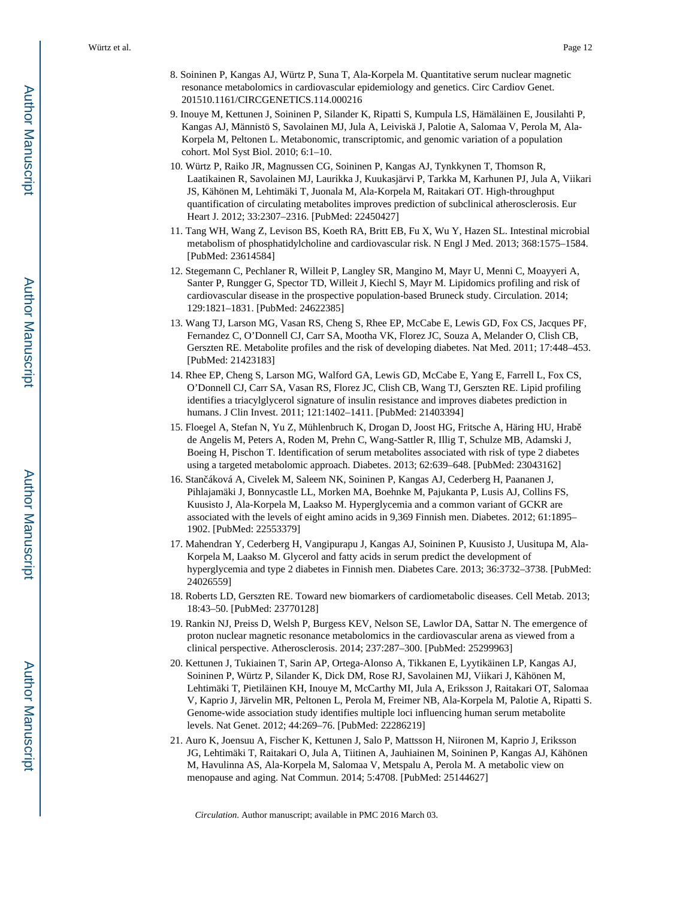- 8. Soininen P, Kangas AJ, Würtz P, Suna T, Ala-Korpela M. Quantitative serum nuclear magnetic resonance metabolomics in cardiovascular epidemiology and genetics. Circ Cardiov Genet. 201510.1161/CIRCGENETICS.114.000216
- 9. Inouye M, Kettunen J, Soininen P, Silander K, Ripatti S, Kumpula LS, Hämäläinen E, Jousilahti P, Kangas AJ, Männistö S, Savolainen MJ, Jula A, Leiviskä J, Palotie A, Salomaa V, Perola M, Ala-Korpela M, Peltonen L. Metabonomic, transcriptomic, and genomic variation of a population cohort. Mol Syst Biol. 2010; 6:1–10.
- 10. Würtz P, Raiko JR, Magnussen CG, Soininen P, Kangas AJ, Tynkkynen T, Thomson R, Laatikainen R, Savolainen MJ, Laurikka J, Kuukasjärvi P, Tarkka M, Karhunen PJ, Jula A, Viikari JS, Kähönen M, Lehtimäki T, Juonala M, Ala-Korpela M, Raitakari OT. High-throughput quantification of circulating metabolites improves prediction of subclinical atherosclerosis. Eur Heart J. 2012; 33:2307–2316. [PubMed: 22450427]
- 11. Tang WH, Wang Z, Levison BS, Koeth RA, Britt EB, Fu X, Wu Y, Hazen SL. Intestinal microbial metabolism of phosphatidylcholine and cardiovascular risk. N Engl J Med. 2013; 368:1575–1584. [PubMed: 23614584]
- 12. Stegemann C, Pechlaner R, Willeit P, Langley SR, Mangino M, Mayr U, Menni C, Moayyeri A, Santer P, Rungger G, Spector TD, Willeit J, Kiechl S, Mayr M. Lipidomics profiling and risk of cardiovascular disease in the prospective population-based Bruneck study. Circulation. 2014; 129:1821–1831. [PubMed: 24622385]
- 13. Wang TJ, Larson MG, Vasan RS, Cheng S, Rhee EP, McCabe E, Lewis GD, Fox CS, Jacques PF, Fernandez C, O'Donnell CJ, Carr SA, Mootha VK, Florez JC, Souza A, Melander O, Clish CB, Gerszten RE. Metabolite profiles and the risk of developing diabetes. Nat Med. 2011; 17:448–453. [PubMed: 21423183]
- 14. Rhee EP, Cheng S, Larson MG, Walford GA, Lewis GD, McCabe E, Yang E, Farrell L, Fox CS, O'Donnell CJ, Carr SA, Vasan RS, Florez JC, Clish CB, Wang TJ, Gerszten RE. Lipid profiling identifies a triacylglycerol signature of insulin resistance and improves diabetes prediction in humans. J Clin Invest. 2011; 121:1402–1411. [PubMed: 21403394]
- 15. Floegel A, Stefan N, Yu Z, Mühlenbruch K, Drogan D, Joost HG, Fritsche A, Häring HU, Hrabě de Angelis M, Peters A, Roden M, Prehn C, Wang-Sattler R, Illig T, Schulze MB, Adamski J, Boeing H, Pischon T. Identification of serum metabolites associated with risk of type 2 diabetes using a targeted metabolomic approach. Diabetes. 2013; 62:639–648. [PubMed: 23043162]
- 16. Stan áková A, Civelek M, Saleem NK, Soininen P, Kangas AJ, Cederberg H, Paananen J, Pihlajamäki J, Bonnycastle LL, Morken MA, Boehnke M, Pajukanta P, Lusis AJ, Collins FS, Kuusisto J, Ala-Korpela M, Laakso M. Hyperglycemia and a common variant of GCKR are associated with the levels of eight amino acids in 9,369 Finnish men. Diabetes. 2012; 61:1895– 1902. [PubMed: 22553379]
- 17. Mahendran Y, Cederberg H, Vangipurapu J, Kangas AJ, Soininen P, Kuusisto J, Uusitupa M, Ala-Korpela M, Laakso M. Glycerol and fatty acids in serum predict the development of hyperglycemia and type 2 diabetes in Finnish men. Diabetes Care. 2013; 36:3732–3738. [PubMed: 24026559]
- 18. Roberts LD, Gerszten RE. Toward new biomarkers of cardiometabolic diseases. Cell Metab. 2013; 18:43–50. [PubMed: 23770128]
- 19. Rankin NJ, Preiss D, Welsh P, Burgess KEV, Nelson SE, Lawlor DA, Sattar N. The emergence of proton nuclear magnetic resonance metabolomics in the cardiovascular arena as viewed from a clinical perspective. Atherosclerosis. 2014; 237:287–300. [PubMed: 25299963]
- 20. Kettunen J, Tukiainen T, Sarin AP, Ortega-Alonso A, Tikkanen E, Lyytikäinen LP, Kangas AJ, Soininen P, Würtz P, Silander K, Dick DM, Rose RJ, Savolainen MJ, Viikari J, Kähönen M, Lehtimäki T, Pietiläinen KH, Inouye M, McCarthy MI, Jula A, Eriksson J, Raitakari OT, Salomaa V, Kaprio J, Järvelin MR, Peltonen L, Perola M, Freimer NB, Ala-Korpela M, Palotie A, Ripatti S. Genome-wide association study identifies multiple loci influencing human serum metabolite levels. Nat Genet. 2012; 44:269–76. [PubMed: 22286219]
- 21. Auro K, Joensuu A, Fischer K, Kettunen J, Salo P, Mattsson H, Niironen M, Kaprio J, Eriksson JG, Lehtimäki T, Raitakari O, Jula A, Tiitinen A, Jauhiainen M, Soininen P, Kangas AJ, Kähönen M, Havulinna AS, Ala-Korpela M, Salomaa V, Metspalu A, Perola M. A metabolic view on menopause and aging. Nat Commun. 2014; 5:4708. [PubMed: 25144627]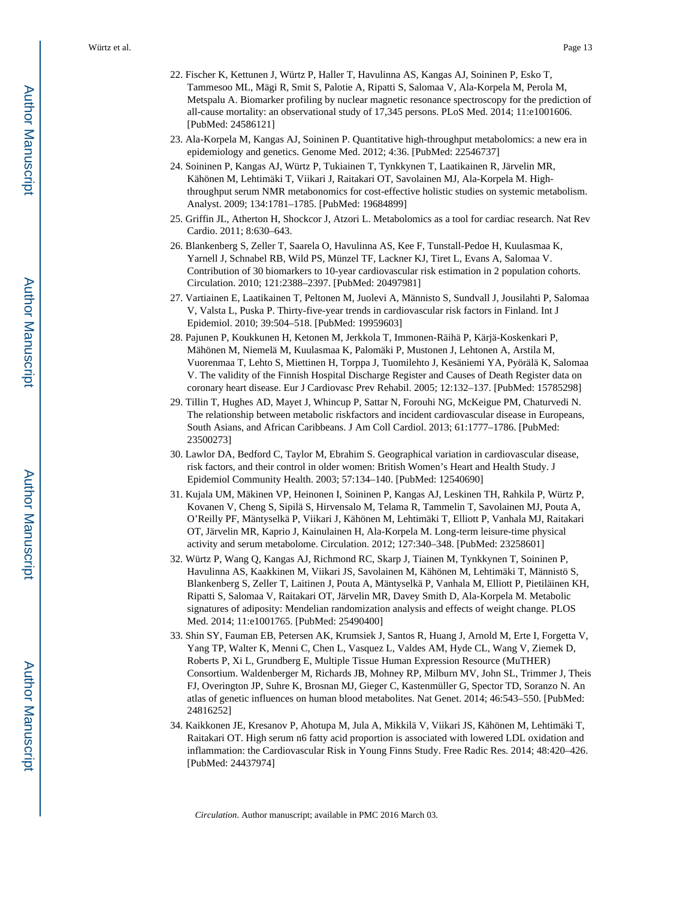- 22. Fischer K, Kettunen J, Würtz P, Haller T, Havulinna AS, Kangas AJ, Soininen P, Esko T, Tammesoo ML, Mägi R, Smit S, Palotie A, Ripatti S, Salomaa V, Ala-Korpela M, Perola M, Metspalu A. Biomarker profiling by nuclear magnetic resonance spectroscopy for the prediction of all-cause mortality: an observational study of 17,345 persons. PLoS Med. 2014; 11:e1001606. [PubMed: 24586121]
- 23. Ala-Korpela M, Kangas AJ, Soininen P. Quantitative high-throughput metabolomics: a new era in epidemiology and genetics. Genome Med. 2012; 4:36. [PubMed: 22546737]
- 24. Soininen P, Kangas AJ, Würtz P, Tukiainen T, Tynkkynen T, Laatikainen R, Järvelin MR, Kähönen M, Lehtimäki T, Viikari J, Raitakari OT, Savolainen MJ, Ala-Korpela M. Highthroughput serum NMR metabonomics for cost-effective holistic studies on systemic metabolism. Analyst. 2009; 134:1781–1785. [PubMed: 19684899]
- 25. Griffin JL, Atherton H, Shockcor J, Atzori L. Metabolomics as a tool for cardiac research. Nat Rev Cardio. 2011; 8:630–643.
- 26. Blankenberg S, Zeller T, Saarela O, Havulinna AS, Kee F, Tunstall-Pedoe H, Kuulasmaa K, Yarnell J, Schnabel RB, Wild PS, Münzel TF, Lackner KJ, Tiret L, Evans A, Salomaa V. Contribution of 30 biomarkers to 10-year cardiovascular risk estimation in 2 population cohorts. Circulation. 2010; 121:2388–2397. [PubMed: 20497981]
- 27. Vartiainen E, Laatikainen T, Peltonen M, Juolevi A, Männisto S, Sundvall J, Jousilahti P, Salomaa V, Valsta L, Puska P. Thirty-five-year trends in cardiovascular risk factors in Finland. Int J Epidemiol. 2010; 39:504–518. [PubMed: 19959603]
- 28. Pajunen P, Koukkunen H, Ketonen M, Jerkkola T, Immonen-Räihä P, Kärjä-Koskenkari P, Mähönen M, Niemelä M, Kuulasmaa K, Palomäki P, Mustonen J, Lehtonen A, Arstila M, Vuorenmaa T, Lehto S, Miettinen H, Torppa J, Tuomilehto J, Kesäniemi YA, Pyörälä K, Salomaa V. The validity of the Finnish Hospital Discharge Register and Causes of Death Register data on coronary heart disease. Eur J Cardiovasc Prev Rehabil. 2005; 12:132–137. [PubMed: 15785298]
- 29. Tillin T, Hughes AD, Mayet J, Whincup P, Sattar N, Forouhi NG, McKeigue PM, Chaturvedi N. The relationship between metabolic riskfactors and incident cardiovascular disease in Europeans, South Asians, and African Caribbeans. J Am Coll Cardiol. 2013; 61:1777–1786. [PubMed: 23500273]
- 30. Lawlor DA, Bedford C, Taylor M, Ebrahim S. Geographical variation in cardiovascular disease, risk factors, and their control in older women: British Women's Heart and Health Study. J Epidemiol Community Health. 2003; 57:134–140. [PubMed: 12540690]
- 31. Kujala UM, Mäkinen VP, Heinonen I, Soininen P, Kangas AJ, Leskinen TH, Rahkila P, Würtz P, Kovanen V, Cheng S, Sipilä S, Hirvensalo M, Telama R, Tammelin T, Savolainen MJ, Pouta A, O'Reilly PF, Mäntyselkä P, Viikari J, Kähönen M, Lehtimäki T, Elliott P, Vanhala MJ, Raitakari OT, Järvelin MR, Kaprio J, Kainulainen H, Ala-Korpela M. Long-term leisure-time physical activity and serum metabolome. Circulation. 2012; 127:340–348. [PubMed: 23258601]
- 32. Würtz P, Wang Q, Kangas AJ, Richmond RC, Skarp J, Tiainen M, Tynkkynen T, Soininen P, Havulinna AS, Kaakkinen M, Viikari JS, Savolainen M, Kähönen M, Lehtimäki T, Männistö S, Blankenberg S, Zeller T, Laitinen J, Pouta A, Mäntyselkä P, Vanhala M, Elliott P, Pietiläinen KH, Ripatti S, Salomaa V, Raitakari OT, Järvelin MR, Davey Smith D, Ala-Korpela M. Metabolic signatures of adiposity: Mendelian randomization analysis and effects of weight change. PLOS Med. 2014; 11:e1001765. [PubMed: 25490400]
- 33. Shin SY, Fauman EB, Petersen AK, Krumsiek J, Santos R, Huang J, Arnold M, Erte I, Forgetta V, Yang TP, Walter K, Menni C, Chen L, Vasquez L, Valdes AM, Hyde CL, Wang V, Ziemek D, Roberts P, Xi L, Grundberg E, Multiple Tissue Human Expression Resource (MuTHER) Consortium. Waldenberger M, Richards JB, Mohney RP, Milburn MV, John SL, Trimmer J, Theis FJ, Overington JP, Suhre K, Brosnan MJ, Gieger C, Kastenmüller G, Spector TD, Soranzo N. An atlas of genetic influences on human blood metabolites. Nat Genet. 2014; 46:543–550. [PubMed: 24816252]
- 34. Kaikkonen JE, Kresanov P, Ahotupa M, Jula A, Mikkilä V, Viikari JS, Kähönen M, Lehtimäki T, Raitakari OT. High serum n6 fatty acid proportion is associated with lowered LDL oxidation and inflammation: the Cardiovascular Risk in Young Finns Study. Free Radic Res. 2014; 48:420–426. [PubMed: 24437974]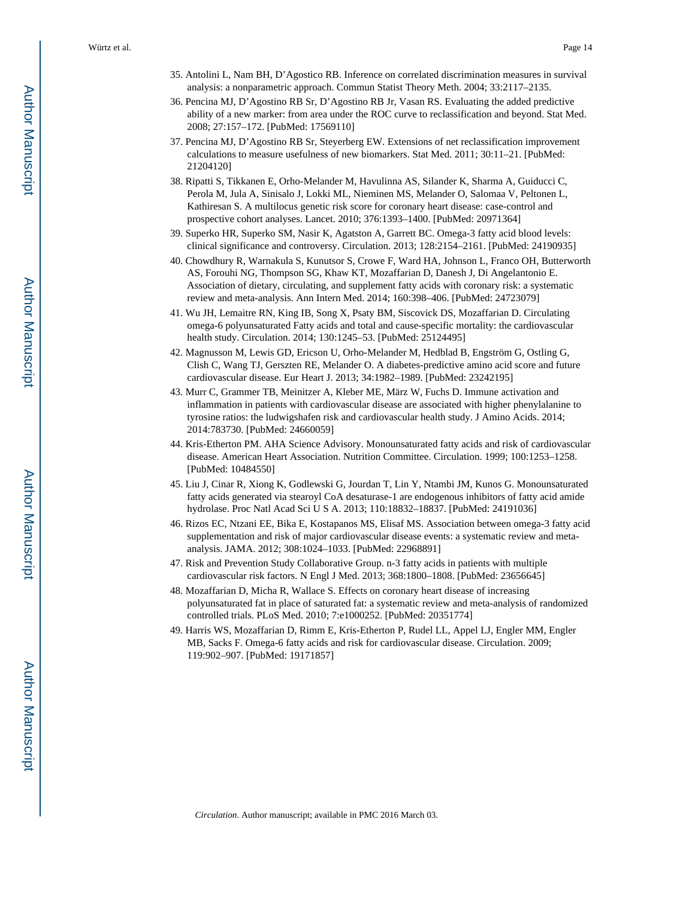- 35. Antolini L, Nam BH, D'Agostico RB. Inference on correlated discrimination measures in survival analysis: a nonparametric approach. Commun Statist Theory Meth. 2004; 33:2117–2135.
- 36. Pencina MJ, D'Agostino RB Sr, D'Agostino RB Jr, Vasan RS. Evaluating the added predictive ability of a new marker: from area under the ROC curve to reclassification and beyond. Stat Med. 2008; 27:157–172. [PubMed: 17569110]
- 37. Pencina MJ, D'Agostino RB Sr, Steyerberg EW. Extensions of net reclassification improvement calculations to measure usefulness of new biomarkers. Stat Med. 2011; 30:11–21. [PubMed: 21204120]
- 38. Ripatti S, Tikkanen E, Orho-Melander M, Havulinna AS, Silander K, Sharma A, Guiducci C, Perola M, Jula A, Sinisalo J, Lokki ML, Nieminen MS, Melander O, Salomaa V, Peltonen L, Kathiresan S. A multilocus genetic risk score for coronary heart disease: case-control and prospective cohort analyses. Lancet. 2010; 376:1393–1400. [PubMed: 20971364]
- 39. Superko HR, Superko SM, Nasir K, Agatston A, Garrett BC. Omega-3 fatty acid blood levels: clinical significance and controversy. Circulation. 2013; 128:2154–2161. [PubMed: 24190935]
- 40. Chowdhury R, Warnakula S, Kunutsor S, Crowe F, Ward HA, Johnson L, Franco OH, Butterworth AS, Forouhi NG, Thompson SG, Khaw KT, Mozaffarian D, Danesh J, Di Angelantonio E. Association of dietary, circulating, and supplement fatty acids with coronary risk: a systematic review and meta-analysis. Ann Intern Med. 2014; 160:398–406. [PubMed: 24723079]
- 41. Wu JH, Lemaitre RN, King IB, Song X, Psaty BM, Siscovick DS, Mozaffarian D. Circulating omega-6 polyunsaturated Fatty acids and total and cause-specific mortality: the cardiovascular health study. Circulation. 2014; 130:1245–53. [PubMed: 25124495]
- 42. Magnusson M, Lewis GD, Ericson U, Orho-Melander M, Hedblad B, Engström G, Ostling G, Clish C, Wang TJ, Gerszten RE, Melander O. A diabetes-predictive amino acid score and future cardiovascular disease. Eur Heart J. 2013; 34:1982–1989. [PubMed: 23242195]
- 43. Murr C, Grammer TB, Meinitzer A, Kleber ME, März W, Fuchs D. Immune activation and inflammation in patients with cardiovascular disease are associated with higher phenylalanine to tyrosine ratios: the ludwigshafen risk and cardiovascular health study. J Amino Acids. 2014; 2014:783730. [PubMed: 24660059]
- 44. Kris-Etherton PM. AHA Science Advisory. Monounsaturated fatty acids and risk of cardiovascular disease. American Heart Association. Nutrition Committee. Circulation. 1999; 100:1253–1258. [PubMed: 10484550]
- 45. Liu J, Cinar R, Xiong K, Godlewski G, Jourdan T, Lin Y, Ntambi JM, Kunos G. Monounsaturated fatty acids generated via stearoyl CoA desaturase-1 are endogenous inhibitors of fatty acid amide hydrolase. Proc Natl Acad Sci U S A. 2013; 110:18832–18837. [PubMed: 24191036]
- 46. Rizos EC, Ntzani EE, Bika E, Kostapanos MS, Elisaf MS. Association between omega-3 fatty acid supplementation and risk of major cardiovascular disease events: a systematic review and metaanalysis. JAMA. 2012; 308:1024–1033. [PubMed: 22968891]
- 47. Risk and Prevention Study Collaborative Group. n-3 fatty acids in patients with multiple cardiovascular risk factors. N Engl J Med. 2013; 368:1800–1808. [PubMed: 23656645]
- 48. Mozaffarian D, Micha R, Wallace S. Effects on coronary heart disease of increasing polyunsaturated fat in place of saturated fat: a systematic review and meta-analysis of randomized controlled trials. PLoS Med. 2010; 7:e1000252. [PubMed: 20351774]
- 49. Harris WS, Mozaffarian D, Rimm E, Kris-Etherton P, Rudel LL, Appel LJ, Engler MM, Engler MB, Sacks F. Omega-6 fatty acids and risk for cardiovascular disease. Circulation. 2009; 119:902–907. [PubMed: 19171857]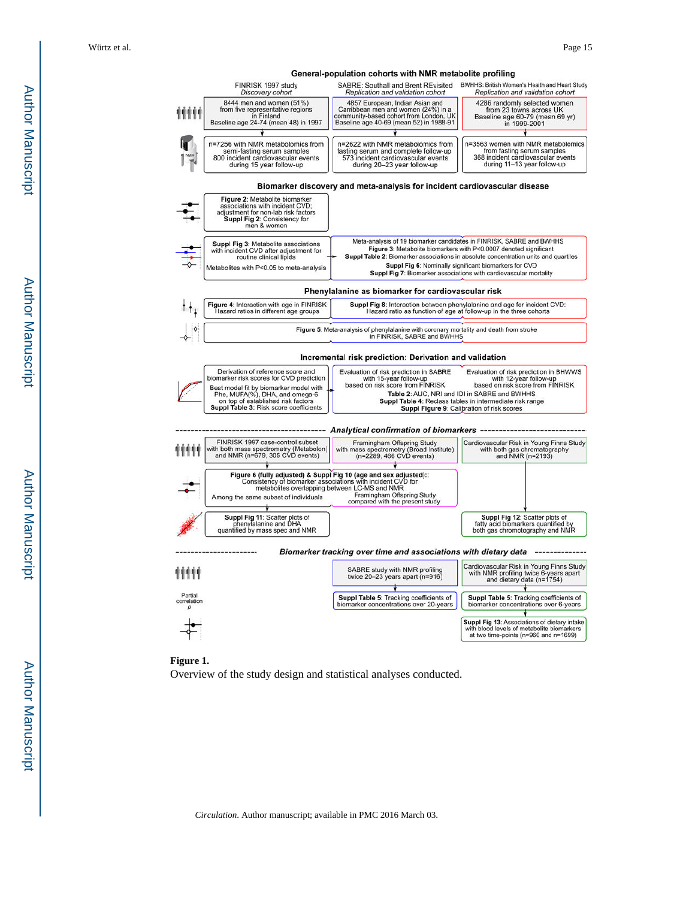**Author Manuscript** Author Manuscript





Overview of the study design and statistical analyses conducted.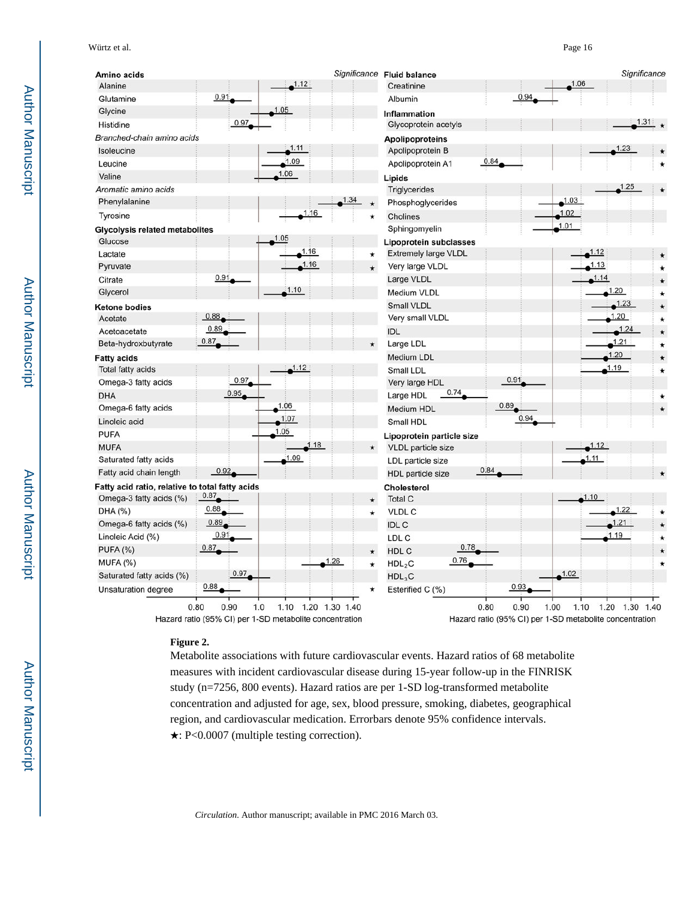Significance Fluid balance Significance Amino acids  $1.12$ 1.06 Alanine Creatinine 0.91  $0.9<sub>4</sub>$ Glutamine Albumin Glycine Inflammation 0.97 1.31 Histidine Glycoprotein acetyls Branched-chain amino acids Apolipoproteins 1.11 Isoleucine Apolipoprotein B 1.09  $0.84$ Apolipoprotein A1 Leucine 1.06 Valine Lipids Aromatic amino acids **Triglycerides**  $1.03$ Phenylalanine Phosphoglycerides  $1.02$  $.16$ Tyrosine Cholines  $1.01$ **Glycolysis related metabolites** Sphingomyelin  $.05$ Glucose **Lipoprotein subclasses**  $1.16$ 1.12 Extremely large VLDL Lactate 1.16 1.13 Pyruvate Very large VLDL Citrate  $0.91$ Large VLDL 1.14 1.10 Glycerol 1.20 Medium VLDL 1.23 Small VLDL **Ketone bodies** 0.88 Very small VLDL .20 Acetate 0.89 Acetoacetate **IDL** 0.87  $1.21$ Beta-hydroxbutyrate Large LDL 1.20 Medium LDL **Fatty acids**  $1.12$ 1.19 **Total fatty acids** Small LDL 0.97  $0.91$ Omega-3 fatty acids Very large HDL 0.95 0.74 Large HDL **DHA**  $\star$ 0.89 Omega-6 fatty acids 1.06 Medium HDL  $1.07$  $0.94$ Linoleic acid Small HDL  $.05$ **PUFA** Lipoprotein particle size .18 **MUFA** VLDL particle size Saturated fatty acids  $1.09$  $1.11$ LDL particle size  $0.92$ 0.84 Fatty acid chain length **HDL** particle size Fatty acid ratio, relative to total fatty acids Cholesterol 0.87 Omega-3 fatty acids (%) **Total C** 0.88 DHA (%) **VLDL C**  $0.89$ 1.21 Omega-6 fatty acids (%) **IDLC**  $0.9$ .19 Linoleic Acid (%) LDL C  $0.87$ 0.78 PUFA (%) HDL C 0.76 MUFA (%) 1.26  $HDL<sub>2</sub>C$ 0.97  $1.02$ Saturated fatty acids (%)  $HDL<sub>3</sub>C$  $0.88$  $0.93$ **Unsaturation degree** Esterified C (%)

Metabolite associations with future cardiovascular events. Hazard ratios of 68 metabolite measures with incident cardiovascular disease during 15-year follow-up in the FINRISK study (n=7256, 800 events). Hazard ratios are per 1-SD log-transformed metabolite concentration and adjusted for age, sex, blood pressure, smoking, diabetes, geographical region, and cardiovascular medication. Errorbars denote 95% confidence intervals.

 $0.90$ 

1.00

Hazard ratio (95% CI) per 1-SD metabolite concentration

 $1.10$ 

1.20 1.30 1.40

0.80

Author Manuscript

Author Manuscrip

*Circulation*. Author manuscript; available in PMC 2016 March 03.

1.10 1.20 1.30 1.40

★: P<0.0007 (multiple testing correction).

**Figure 2.** 

 $0.80$ 

0.90

 $1.0$ 

Hazard ratio (95% CI) per 1-SD metabolite concentration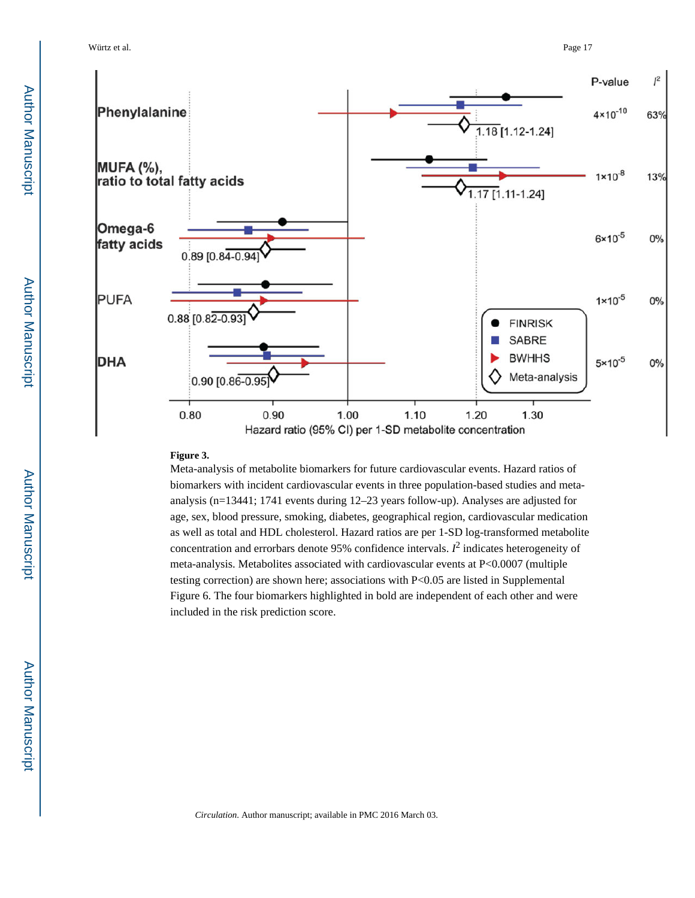Würtz et al. Page 17



#### **Figure 3.**

Meta-analysis of metabolite biomarkers for future cardiovascular events. Hazard ratios of biomarkers with incident cardiovascular events in three population-based studies and metaanalysis (n=13441; 1741 events during 12–23 years follow-up). Analyses are adjusted for age, sex, blood pressure, smoking, diabetes, geographical region, cardiovascular medication as well as total and HDL cholesterol. Hazard ratios are per 1-SD log-transformed metabolite concentration and errorbars denote 95% confidence intervals.  $I^2$  indicates heterogeneity of meta-analysis. Metabolites associated with cardiovascular events at P<0.0007 (multiple testing correction) are shown here; associations with P<0.05 are listed in Supplemental Figure 6. The four biomarkers highlighted in bold are independent of each other and were included in the risk prediction score.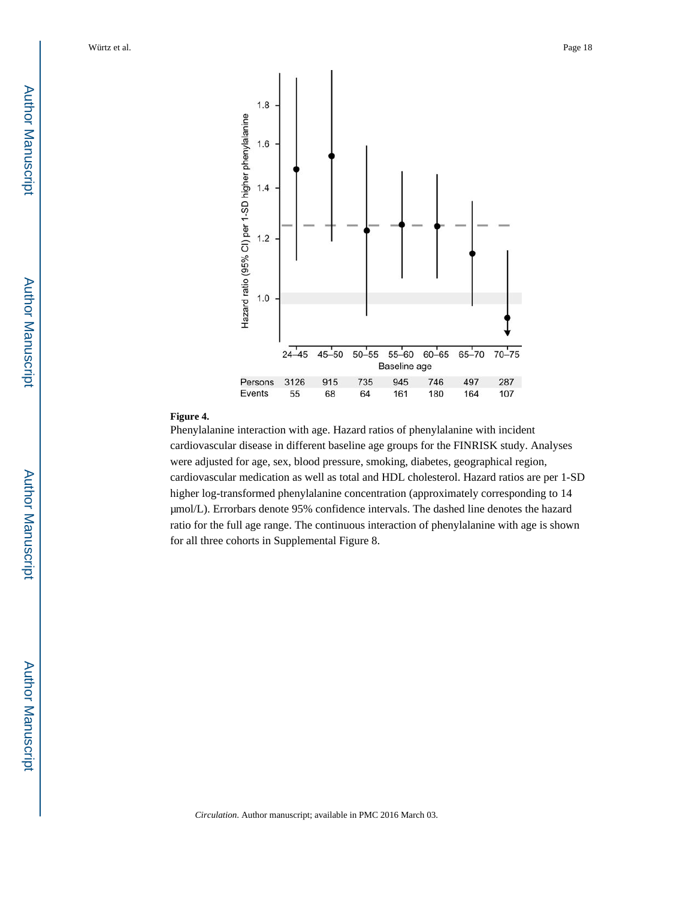

#### **Figure 4.**

Phenylalanine interaction with age. Hazard ratios of phenylalanine with incident cardiovascular disease in different baseline age groups for the FINRISK study. Analyses were adjusted for age, sex, blood pressure, smoking, diabetes, geographical region, cardiovascular medication as well as total and HDL cholesterol. Hazard ratios are per 1-SD higher log-transformed phenylalanine concentration (approximately corresponding to 14 μmol/L). Errorbars denote 95% confidence intervals. The dashed line denotes the hazard ratio for the full age range. The continuous interaction of phenylalanine with age is shown for all three cohorts in Supplemental Figure 8.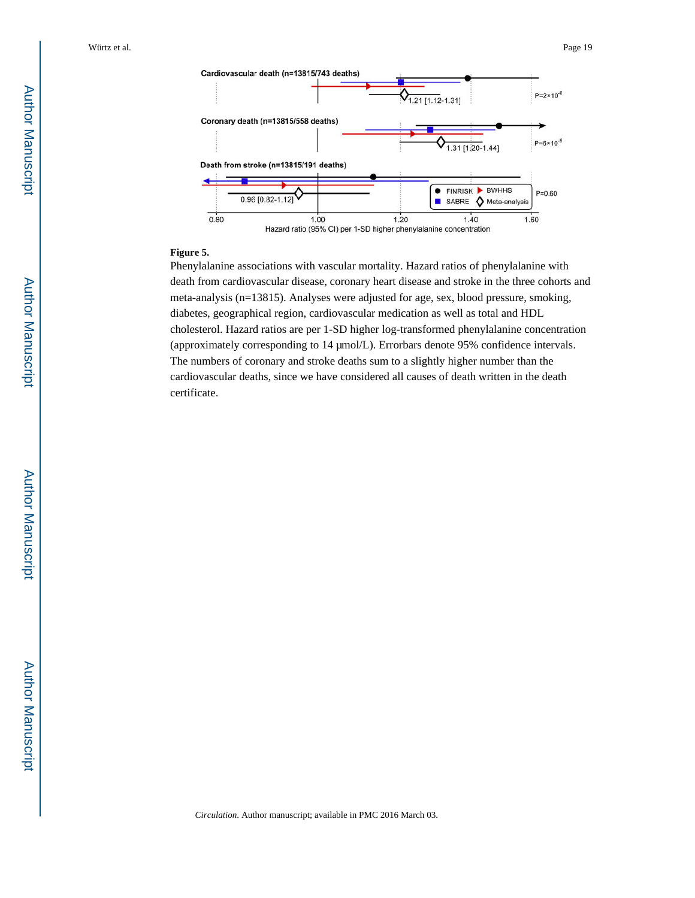

#### **Figure 5.**

Phenylalanine associations with vascular mortality. Hazard ratios of phenylalanine with death from cardiovascular disease, coronary heart disease and stroke in the three cohorts and meta-analysis (n=13815). Analyses were adjusted for age, sex, blood pressure, smoking, diabetes, geographical region, cardiovascular medication as well as total and HDL cholesterol. Hazard ratios are per 1-SD higher log-transformed phenylalanine concentration (approximately corresponding to 14 μmol/L). Errorbars denote 95% confidence intervals. The numbers of coronary and stroke deaths sum to a slightly higher number than the cardiovascular deaths, since we have considered all causes of death written in the death certificate.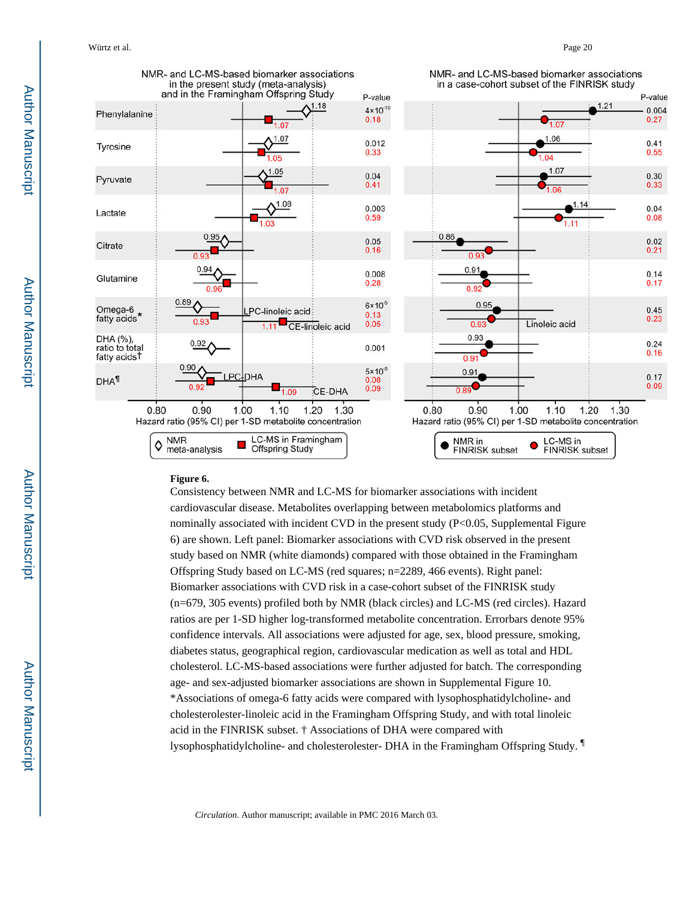

#### **Figure 6.**

Consistency between NMR and LC-MS for biomarker associations with incident cardiovascular disease. Metabolites overlapping between metabolomics platforms and nominally associated with incident CVD in the present study  $(P< 0.05,$  Supplemental Figure 6) are shown. Left panel: Biomarker associations with CVD risk observed in the present study based on NMR (white diamonds) compared with those obtained in the Framingham Offspring Study based on LC-MS (red squares; n=2289, 466 events). Right panel: Biomarker associations with CVD risk in a case-cohort subset of the FINRISK study (n=679, 305 events) profiled both by NMR (black circles) and LC-MS (red circles). Hazard ratios are per 1-SD higher log-transformed metabolite concentration. Errorbars denote 95% confidence intervals. All associations were adjusted for age, sex, blood pressure, smoking, diabetes status, geographical region, cardiovascular medication as well as total and HDL cholesterol. LC-MS-based associations were further adjusted for batch. The corresponding age- and sex-adjusted biomarker associations are shown in Supplemental Figure 10. \*Associations of omega-6 fatty acids were compared with lysophosphatidylcholine- and cholesterolester-linoleic acid in the Framingham Offspring Study, and with total linoleic acid in the FINRISK subset. † Associations of DHA were compared with lysophosphatidylcholine- and cholesterolester- DHA in the Framingham Offspring Study. ¶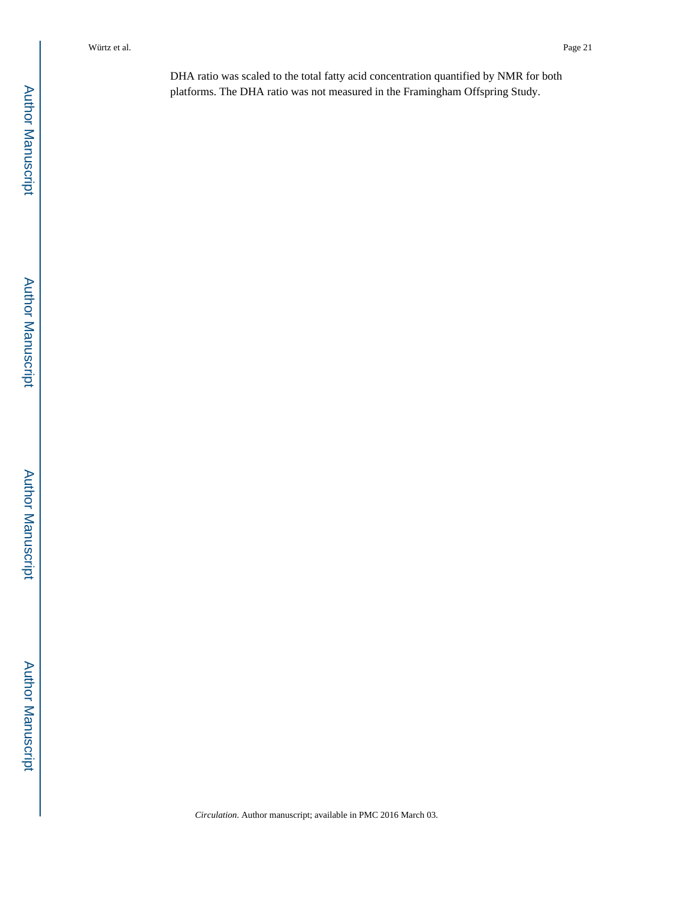DHA ratio was scaled to the total fatty acid concentration quantified by NMR for both platforms. The DHA ratio was not measured in the Framingham Offspring Study.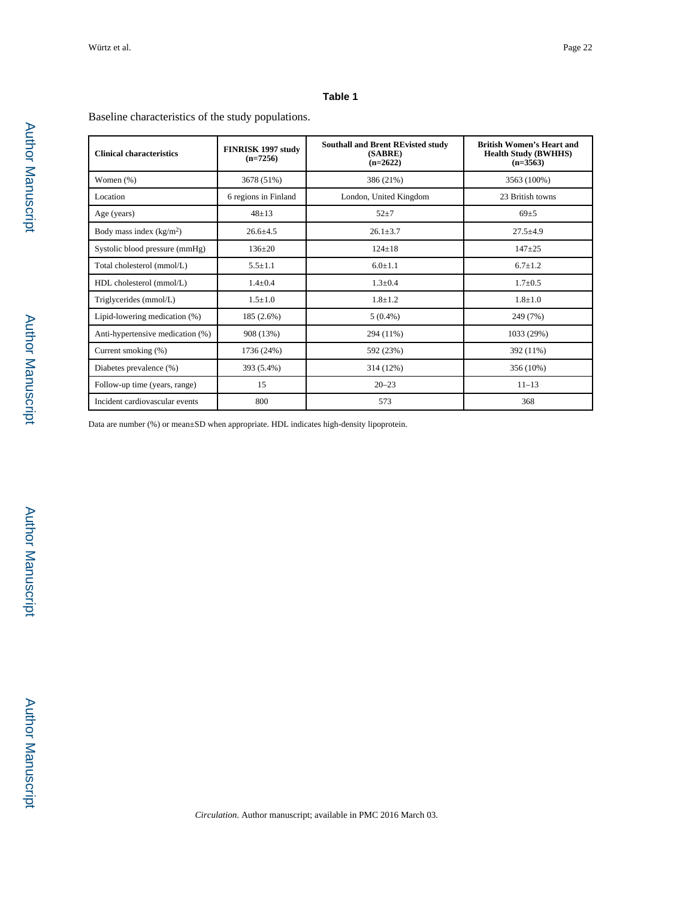#### **Table 1**

Baseline characteristics of the study populations.

| <b>Clinical characteristics</b>  | FINRISK 1997 study<br>$(n=7256)$ | <b>Southall and Brent REvisted study</b><br>(SABRE)<br>$(n=2622)$ | <b>British Women's Heart and</b><br><b>Health Study (BWHHS)</b><br>$(n=3563)$ |
|----------------------------------|----------------------------------|-------------------------------------------------------------------|-------------------------------------------------------------------------------|
| Women $(\%)$                     | 3678 (51%)                       | 386 (21%)                                                         | 3563 (100%)                                                                   |
| Location                         | 6 regions in Finland             | London, United Kingdom                                            | 23 British towns                                                              |
| Age (years)                      | $48 + 13$                        | $52 + 7$                                                          | $69+5$                                                                        |
| Body mass index $(kg/m2)$        | $26.6 \pm 4.5$                   | $26.1 \pm 3.7$                                                    | $27.5 \pm 4.9$                                                                |
| Systolic blood pressure (mmHg)   | $136+20$                         | $124 + 18$                                                        | $147 + 25$                                                                    |
| Total cholesterol (mmol/L)       | $5.5 + 1.1$                      | $6.0 + 1.1$                                                       | $6.7 + 1.2$                                                                   |
| HDL cholesterol (mmol/L)         | $1.4 + 0.4$                      | $1.3 + 0.4$                                                       | $1.7 \pm 0.5$                                                                 |
| Triglycerides (mmol/L)           | $1.5 + 1.0$                      | $1.8 + 1.2$                                                       | $1.8 + 1.0$                                                                   |
| Lipid-lowering medication (%)    | 185 (2.6%)                       | $5(0.4\%)$                                                        | 249 (7%)                                                                      |
| Anti-hypertensive medication (%) | 908 (13%)                        | 294 (11%)                                                         | 1033 (29%)                                                                    |
| Current smoking (%)              | 1736 (24%)                       | 592 (23%)                                                         | 392 (11%)                                                                     |
| Diabetes prevalence (%)          | 393 (5.4%)                       | 314 (12%)                                                         | 356 (10%)                                                                     |
| Follow-up time (years, range)    | 15                               | $20 - 23$                                                         | $11 - 13$                                                                     |
| Incident cardiovascular events   | 800                              | 573                                                               | 368                                                                           |

Data are number (%) or mean±SD when appropriate. HDL indicates high-density lipoprotein.